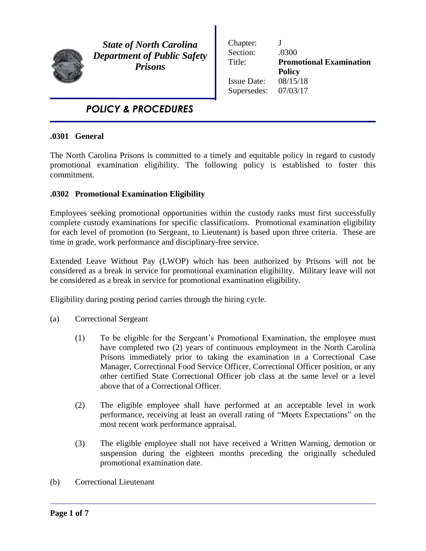

l

*State of North Carolina Department of Public Safety Prisons*

Chapter: J Section: .0300 Title: **Promotional Examination Policy** Issue Date: 08/15/18 Supersedes: 07/03/17

# *POLICY & PROCEDURES*

## **.0301 General**

The North Carolina Prisons is committed to a timely and equitable policy in regard to custody promotional examination eligibility. The following policy is established to foster this commitment.

## **.0302 Promotional Examination Eligibility**

Employees seeking promotional opportunities within the custody ranks must first successfully complete custody examinations for specific classifications. Promotional examination eligibility for each level of promotion (to Sergeant, to Lieutenant) is based upon three criteria. These are time in grade, work performance and disciplinary-free service.

Extended Leave Without Pay (LWOP) which has been authorized by Prisons will not be considered as a break in service for promotional examination eligibility. Military leave will not be considered as a break in service for promotional examination eligibility.

Eligibility during posting period carries through the hiring cycle.

- (a) Correctional Sergeant
	- (1) To be eligible for the Sergeant's Promotional Examination, the employee must have completed two (2) years of continuous employment in the North Carolina Prisons immediately prior to taking the examination in a Correctional Case Manager, Correctional Food Service Officer, Correctional Officer position, or any other certified State Correctional Officer job class at the same level or a level above that of a Correctional Officer.
	- (2) The eligible employee shall have performed at an acceptable level in work performance, receiving at least an overall rating of "Meets Expectations" on the most recent work performance appraisal.
	- (3) The eligible employee shall not have received a Written Warning, demotion or suspension during the eighteen months preceding the originally scheduled promotional examination date.
- (b) Correctional Lieutenant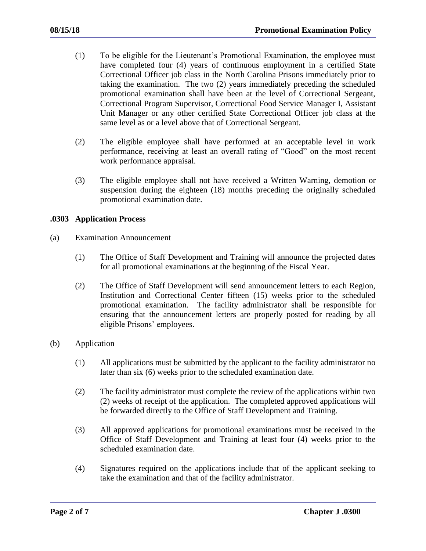- (1) To be eligible for the Lieutenant's Promotional Examination, the employee must have completed four (4) years of continuous employment in a certified State Correctional Officer job class in the North Carolina Prisons immediately prior to taking the examination. The two (2) years immediately preceding the scheduled promotional examination shall have been at the level of Correctional Sergeant, Correctional Program Supervisor, Correctional Food Service Manager I, Assistant Unit Manager or any other certified State Correctional Officer job class at the same level as or a level above that of Correctional Sergeant.
- (2) The eligible employee shall have performed at an acceptable level in work performance, receiving at least an overall rating of "Good" on the most recent work performance appraisal.
- (3) The eligible employee shall not have received a Written Warning, demotion or suspension during the eighteen (18) months preceding the originally scheduled promotional examination date.

#### **.0303 Application Process**

- (a) Examination Announcement
	- (1) The Office of Staff Development and Training will announce the projected dates for all promotional examinations at the beginning of the Fiscal Year.
	- (2) The Office of Staff Development will send announcement letters to each Region, Institution and Correctional Center fifteen (15) weeks prior to the scheduled promotional examination. The facility administrator shall be responsible for ensuring that the announcement letters are properly posted for reading by all eligible Prisons' employees.
- (b) Application
	- (1) All applications must be submitted by the applicant to the facility administrator no later than six (6) weeks prior to the scheduled examination date.
	- (2) The facility administrator must complete the review of the applications within two (2) weeks of receipt of the application. The completed approved applications will be forwarded directly to the Office of Staff Development and Training.
	- (3) All approved applications for promotional examinations must be received in the Office of Staff Development and Training at least four (4) weeks prior to the scheduled examination date.
	- (4) Signatures required on the applications include that of the applicant seeking to take the examination and that of the facility administrator.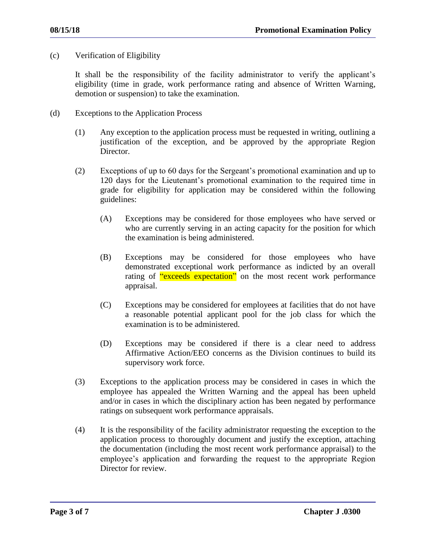(c) Verification of Eligibility

It shall be the responsibility of the facility administrator to verify the applicant's eligibility (time in grade, work performance rating and absence of Written Warning, demotion or suspension) to take the examination.

- (d) Exceptions to the Application Process
	- (1) Any exception to the application process must be requested in writing, outlining a justification of the exception, and be approved by the appropriate Region Director.
	- (2) Exceptions of up to 60 days for the Sergeant's promotional examination and up to 120 days for the Lieutenant's promotional examination to the required time in grade for eligibility for application may be considered within the following guidelines:
		- (A) Exceptions may be considered for those employees who have served or who are currently serving in an acting capacity for the position for which the examination is being administered.
		- (B) Exceptions may be considered for those employees who have demonstrated exceptional work performance as indicted by an overall rating of "exceeds expectation" on the most recent work performance appraisal.
		- (C) Exceptions may be considered for employees at facilities that do not have a reasonable potential applicant pool for the job class for which the examination is to be administered.
		- (D) Exceptions may be considered if there is a clear need to address Affirmative Action/EEO concerns as the Division continues to build its supervisory work force.
	- (3) Exceptions to the application process may be considered in cases in which the employee has appealed the Written Warning and the appeal has been upheld and/or in cases in which the disciplinary action has been negated by performance ratings on subsequent work performance appraisals.
	- (4) It is the responsibility of the facility administrator requesting the exception to the application process to thoroughly document and justify the exception, attaching the documentation (including the most recent work performance appraisal) to the employee's application and forwarding the request to the appropriate Region Director for review.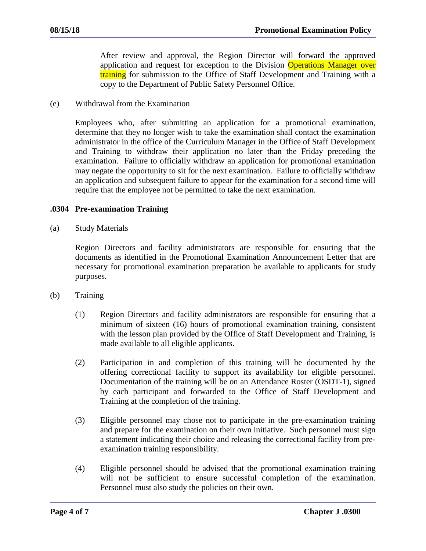After review and approval, the Region Director will forward the approved application and request for exception to the Division Operations Manager over **training** for submission to the Office of Staff Development and Training with a copy to the Department of Public Safety Personnel Office.

(e) Withdrawal from the Examination

Employees who, after submitting an application for a promotional examination, determine that they no longer wish to take the examination shall contact the examination administrator in the office of the Curriculum Manager in the Office of Staff Development and Training to withdraw their application no later than the Friday preceding the examination. Failure to officially withdraw an application for promotional examination may negate the opportunity to sit for the next examination. Failure to officially withdraw an application and subsequent failure to appear for the examination for a second time will require that the employee not be permitted to take the next examination.

#### **.0304 Pre-examination Training**

(a) Study Materials

Region Directors and facility administrators are responsible for ensuring that the documents as identified in the Promotional Examination Announcement Letter that are necessary for promotional examination preparation be available to applicants for study purposes.

- (b) Training
	- (1) Region Directors and facility administrators are responsible for ensuring that a minimum of sixteen (16) hours of promotional examination training, consistent with the lesson plan provided by the Office of Staff Development and Training, is made available to all eligible applicants.
	- (2) Participation in and completion of this training will be documented by the offering correctional facility to support its availability for eligible personnel. Documentation of the training will be on an Attendance Roster (OSDT-1), signed by each participant and forwarded to the Office of Staff Development and Training at the completion of the training.
	- (3) Eligible personnel may chose not to participate in the pre-examination training and prepare for the examination on their own initiative. Such personnel must sign a statement indicating their choice and releasing the correctional facility from preexamination training responsibility.
	- (4) Eligible personnel should be advised that the promotional examination training will not be sufficient to ensure successful completion of the examination. Personnel must also study the policies on their own.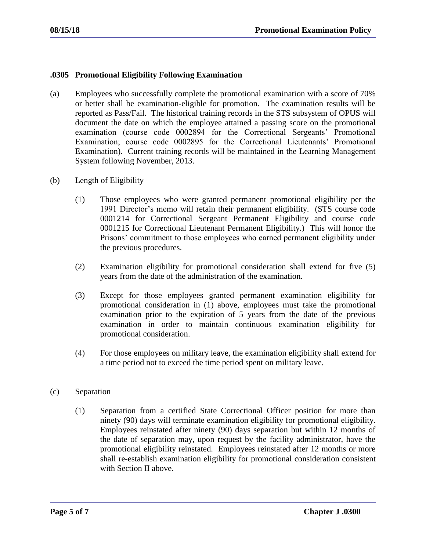## **.0305 Promotional Eligibility Following Examination**

- (a) Employees who successfully complete the promotional examination with a score of 70% or better shall be examination-eligible for promotion. The examination results will be reported as Pass/Fail. The historical training records in the STS subsystem of OPUS will document the date on which the employee attained a passing score on the promotional examination (course code 0002894 for the Correctional Sergeants' Promotional Examination; course code 0002895 for the Correctional Lieutenants' Promotional Examination). Current training records will be maintained in the Learning Management System following November, 2013.
- (b) Length of Eligibility
	- (1) Those employees who were granted permanent promotional eligibility per the 1991 Director's memo will retain their permanent eligibility. (STS course code 0001214 for Correctional Sergeant Permanent Eligibility and course code 0001215 for Correctional Lieutenant Permanent Eligibility.) This will honor the Prisons' commitment to those employees who earned permanent eligibility under the previous procedures.
	- (2) Examination eligibility for promotional consideration shall extend for five (5) years from the date of the administration of the examination.
	- (3) Except for those employees granted permanent examination eligibility for promotional consideration in (1) above, employees must take the promotional examination prior to the expiration of 5 years from the date of the previous examination in order to maintain continuous examination eligibility for promotional consideration.
	- (4) For those employees on military leave, the examination eligibility shall extend for a time period not to exceed the time period spent on military leave.
- (c) Separation
	- (1) Separation from a certified State Correctional Officer position for more than ninety (90) days will terminate examination eligibility for promotional eligibility. Employees reinstated after ninety (90) days separation but within 12 months of the date of separation may, upon request by the facility administrator, have the promotional eligibility reinstated. Employees reinstated after 12 months or more shall re-establish examination eligibility for promotional consideration consistent with Section II above.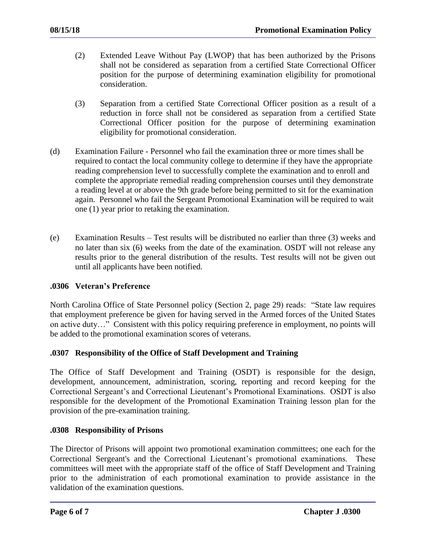- (2) Extended Leave Without Pay (LWOP) that has been authorized by the Prisons shall not be considered as separation from a certified State Correctional Officer position for the purpose of determining examination eligibility for promotional consideration.
- (3) Separation from a certified State Correctional Officer position as a result of a reduction in force shall not be considered as separation from a certified State Correctional Officer position for the purpose of determining examination eligibility for promotional consideration.
- (d) Examination Failure Personnel who fail the examination three or more times shall be required to contact the local community college to determine if they have the appropriate reading comprehension level to successfully complete the examination and to enroll and complete the appropriate remedial reading comprehension courses until they demonstrate a reading level at or above the 9th grade before being permitted to sit for the examination again. Personnel who fail the Sergeant Promotional Examination will be required to wait one (1) year prior to retaking the examination.
- (e) Examination Results Test results will be distributed no earlier than three (3) weeks and no later than six (6) weeks from the date of the examination. OSDT will not release any results prior to the general distribution of the results. Test results will not be given out until all applicants have been notified.

# **.0306 Veteran's Preference**

North Carolina Office of State Personnel policy (Section 2, page 29) reads: "State law requires that employment preference be given for having served in the Armed forces of the United States on active duty…" Consistent with this policy requiring preference in employment, no points will be added to the promotional examination scores of veterans.

# **.0307 Responsibility of the Office of Staff Development and Training**

The Office of Staff Development and Training (OSDT) is responsible for the design, development, announcement, administration, scoring, reporting and record keeping for the Correctional Sergeant's and Correctional Lieutenant's Promotional Examinations. OSDT is also responsible for the development of the Promotional Examination Training lesson plan for the provision of the pre-examination training.

# **.0308 Responsibility of Prisons**

The Director of Prisons will appoint two promotional examination committees; one each for the Correctional Sergeant's and the Correctional Lieutenant's promotional examinations. These committees will meet with the appropriate staff of the office of Staff Development and Training prior to the administration of each promotional examination to provide assistance in the validation of the examination questions.